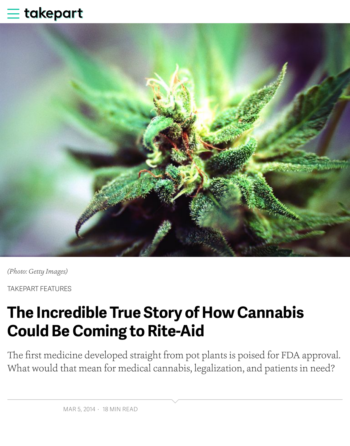

*(Photo: Getty Images)*

TAKEPART FEATURES

## **The Incredible True Story of How Cannabis Could Be Coming to Rite-Aid**

Th[e first medici](http://www.takepart.com/features)ne developed straight from pot plants is poised for FDA What would that mean for medical cannabis, legalization, and patients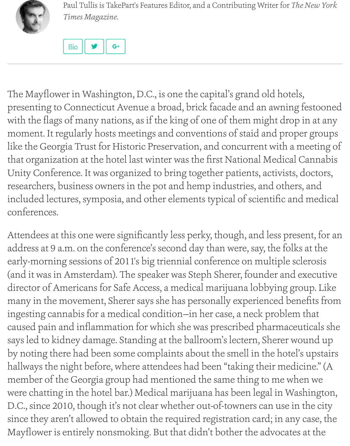The Mayflower in Washington, D.C., is one the capital's grand old hotel presenting to [Con](http://www.takepart.com/author/paul-tullis)[nectic](https://twitter.com/ptullis)[ut Av](https://plus.google.com/110138893754077848069)enue a broad, brick facade and an awning with the flags of many nations, as if the king of one of them might drop moment. It regularly hosts meetings and conventions of staid and prop like the Georgia Trust for Historic Preservation, and concurrent with a that organization at the hotel last winter was the first National Medical Unity Conference. It was organized to bring together patients, activists, researchers, business owners in the pot and hemp industries, and other included lectures, symposia, and other elements typical of scientific an conferences.

Attendees at this one were significantly less perky, though, and less pre address at 9 a.m. on the conference's second day than were, say, the folk early-morning sessions of 2011's big triennial conference on multiple so (and it was in Amsterdam). The speaker was Steph Sherer, founder and director of Americans for Safe Access, a medical marijuana lobbying gr many in the movement, Sherer says she has personally experienced benefits ingesting cannabis for a medical condition-in her case, a neck problen caused pain and inflammation for which she was prescribed pharmace says led to kidney damage. Standing at the ballroom's lectern, Sherer w by noting there had been some complaints about the smell in the hotel hallways the night before, where attendees had been "taking their medi member of the Georgia group had mentioned the same thing to me wh were chatting in the hotel bar.) Medical marijuana has been legal in Wa D.C., since 2010, though it's not clear whether out-of-towners can use in since they aren't allowed to obtain the required registration card; in any Mayflower is entirely nonsmoking. But that didn't bother the advocate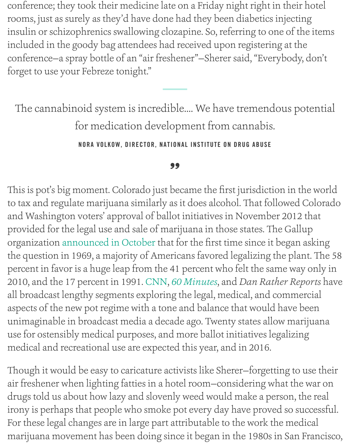$\frac{1}{2}$  conference—a spray both of an air frequence—sherer said,  $\frac{1}{2}$  is  $\frac{1}{2}$ forget to use your Febreze tonight."

The cannabinoid system is incredible.... We have tremendous potential for medication development from cannabis.

**NORA VOLKOW, DIRECTOR, NATIONAL INSTITUTE ON DRUG ABUSE**

## 99

This is pot's big moment. Colorado just became the first jurisdiction in to tax and regulate marijuana similarly as it does alcohol. That followed and Washington voters' approval of ballot initiatives in November 201 provided for the legal use and sale of marijuana in those states. The Gal organization announced in October that for the first time since it began the question in 1969, a majority of Americans favored legalizing the plant percent in favor is a huge leap from the 41 percent who felt the same way 2010, and the 17 percent in 1991. CNN, 60 Minutes, and *Dan Rather Reports* all broadcast lengthy segments exploring the legal, medical, and comm aspects of th[e new pot regime with a](http://www.gallup.com/poll/165539/first-time-americans-favor-legalizing-marijuana.aspx) tone and balance that would have unimaginable in broadcast media a decade ago. Twenty states allow ma use for ostensibly medical purposes, and more ballot initiatives legalizi medical and recreational use are [expect](http://www.cnn.com/2013/08/08/health/gupta-changed-mind-marijuana/_)[ed this year,](http://www.cbsnews.com/news/medical-marijuana-will-colorados-green-rush-last/) and in 2016.

Though it would be easy to caricature activists like Sherer-forgetting to air freshener when lighting fatties in a hotel room-considering what the drugs told us about how lazy and slovenly weed would make a person, irony is perhaps that people who smoke pot every day have proved so s For these legal changes are in large part attributable to the work the me marijuana movement has been doing since it began in the 1980s in Sar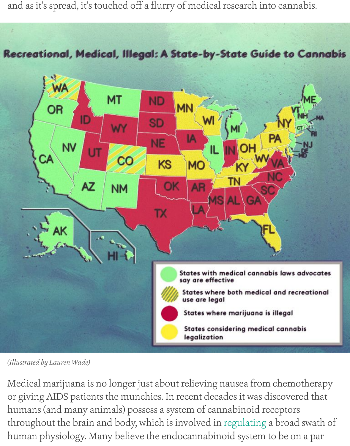

*(Illustrated by Lauren Wade)*

Medical marijuana is no longer just about relieving nausea from chemo or giving AIDS patients the munchies. In recent decades it was discover humans (and many animals) possess a system of cannabinoid receptors throughout the brain and body, which is involved in regulating a broad human physiology. Many believe the endocannabinoid system to be on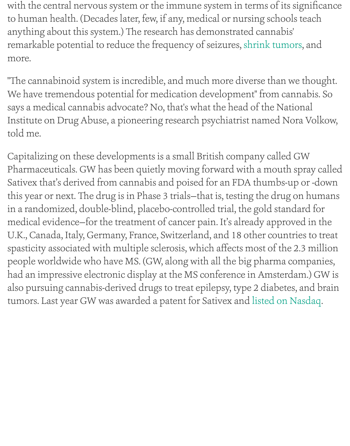$\cdots$ 

"The cannabinoid system is incredible, and much more diverse than we We have tremendous potential for medication development" from can: says a medical cannabis advocate? No, that's what the hea[d of the Nation](http://www.cancer.gov/cancertopics/pdq/cam/cannabis/healthprofessional/page4)al Institute on Drug Abuse, a pioneering research psychiatrist named Nor told me.

Capitalizing on these developments is a small British company called G Pharmaceuticals. GW has been quietly moving forward with a mouth s Sativex that's derived from cannabis and poised for an FDA thumbs-up this year or next. The drug is in Phase 3 trials-that is, testing the drug o in a randomized, double-blind, placebo-controlled trial, the gold stand medical evidence–for the treatment of cancer pain. It's already approve U.K., Canada, Italy, Germany, France, Switzerland, and 18 other countri spasticity associated with multiple sclerosis, which affects most of the 2 people worldwide who have MS. (GW, along with all the big pharma co had an impressive electronic display at the MS conference in Amsterda also pursuing cannabis-derived drugs to treat epilepsy, type 2 diabetes, tumors. Last year GW was awarded a patent for Sativex and listed on N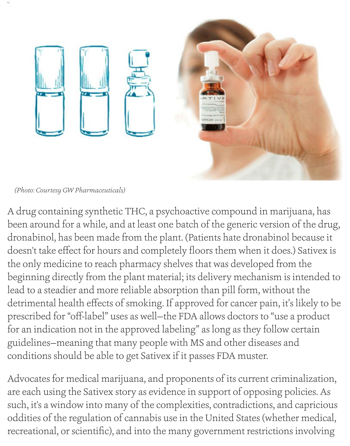

*(Photo: Courtesy GW Pharmaceuticals)*

A drug containing synthetic THC, a psychoactive compound in marijuana, has been around for a while, and at least one batch of the generic version of the drug, dronabinol, has been made from the plant. (Patients hate dronabinol because it doesn't take effect for hours and completely floors them when it does.) Sativex is the only medicine to reach pharmacy shelves that was developed from the beginning directly from the plant material; its delivery mechanism is intended to lead to a steadier and more reliable absorption than pill form, without the detrimental health effects of smoking. If approved for cancer pain, it's likely to be prescribed for "off-label" uses as well—the FDA allows doctors to "use a product for an indication not in the approved labeling" as long as they follow certain guidelines—meaning that many people with MS and other diseases and conditions should be able to get Sativex if it passes FDA muster.

Advocates for medical marijuana, and proponents of its current criminalization, are each using the Sativex story as evidence in support of opposing policies. As such, it's a window into many of the complexities, contradictions, and capricious oddities of the regulation of cannabis use in the United States (whether medical, recreational, or scientific), and into the many government restrictions involving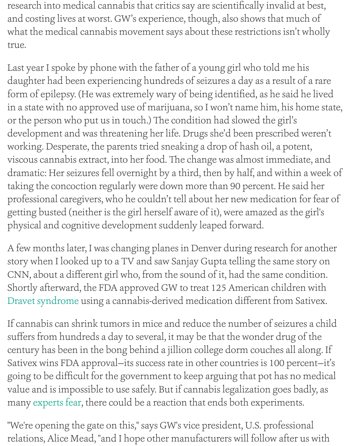Last year I spoke by phone with the father of a young girl who told me daughter had been experiencing hundreds of seizures a day as a result form of epilepsy. (He was extremely wary of being identified, as he said in a state with no approved use of marijuana, so I won't name him, his l or the person who put us in touch.) The condition had slowed the girl's development and was threatening her life. Drugs she'd been prescribed working. Desperate, the parents tried sneaking a drop of hash oil, a pot viscous cannabis extract, into her food. The change was almost immedi dramatic: Her seizures fell overnight by a third, then by half, and within taking the concoction regularly were down more than 90 percent. He said professional caregivers, who he couldn't tell about her new medication getting busted (neither is the girl herself aware of it), were amazed as th physical and cognitive development suddenly leaped forward.

A few months later, I was changing planes in Denver during research for story when I looked up to a TV and saw Sanjay Gupta telling the same story when I looked up to a TV and saw Sanjay Gupta telling the same CNN, about a different girl who, from the sound of it, had the same condition. Shortly afterward, the FDA approved GW to treat 125 American children Dravet syndrome using a cannabis-derived medication different from S

If cannabis can shrink tumors in mice and reduce the number of seizure suffers from hundreds a day to several, it may be that the wonder drug century has been in the bong behind a jillion college dorm couches all [Sativex wins FDA](http://www.dravetfoundation.org/dravet-syndrome/what-is-dravet-syndrome) approval—its success rate in other countries is 100 percent going to be difficult for the government to keep arguing that pot has no value and is impossible to use safely. But if cannabis legalization goes b many experts fear, there could be a reaction that ends both experiment

"We're opening the gate on this," says GW's vice president, U.S. professionally relations, Alice Mead, "and I hope other manufacturers will follow after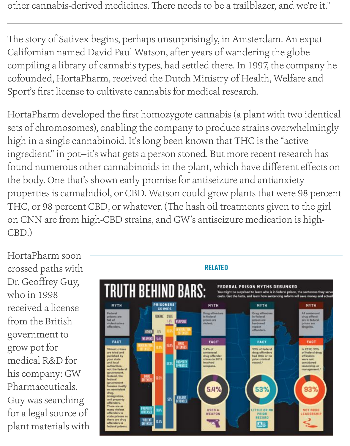compiling a library of cannabis types, had settled there. In 1997, the company here. cofounded, HortaPharm, received the Dutch Ministry of Health, Welfa Sport's first license to cultivate cannabis for medical research.

HortaPharm developed the first homozygote cannabis (a plant with two sets of chromosomes), enabling the company to produce strains overwi high in a single cannabinoid. It's long been known that THC is the "action ingredient" in pot-it's what gets a person stoned. But more recent research has been had found numerous other cannabinoids in the plant, which have different the body. One that's shown early promise for antiseizure and antianxiety properties is cannabidiol, or CBD. Watson could grow plants that were THC, or 98 percent CBD, or whatever. (The hash oil treatments given to on CNN are from high-CBD strains, and GW's antiseizure medication is CBD.)

HortaPharm soon crossed paths with Dr. Geoffrey Guy, who in 1998 received a license from the British government to grow pot for medical R&D for his company: GW Pharmaceuticals. Guy was searching for a legal source of plant materials with

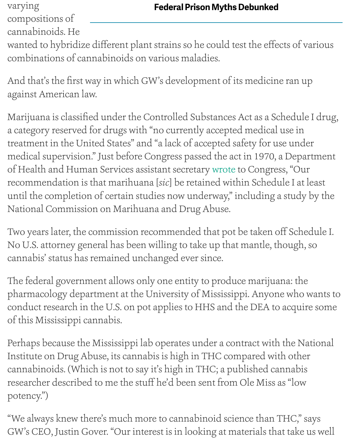combinations of ca[nnabinoids on various maladies.](http://www.takepart.com/article/2014/03/04/infographic-federal-prison-myths-debunked)

And that's the first way in which GW's development of its medicine ran against American law.

Marijuana is classified under the Controlled Substances Act as a Scheda category reserved for drugs with "no currently accepted medical use i treatment in the United States" and "a lack of accepted safety for use under medical supervision." Just before Congress passed the act in 1970, a De of Health and Human Services assistant secretary wrote to Congress, "Our recommendation is that marihuana [sic] be retained within Schedule I until the completion of certain studies now underway," including a study National Commission on Marihuana and Drug Abuse.

Two years later, the commission recommended t[hat pot](http://bulk.resource.org/gao.gov/91-513/000050E1.pdf#page=62) be taken off Schedule I. No U.S. attorney general has been willing to take up that mantle, though cannabis' status has remained unchanged ever since.

The federal government allows only one entity to produce marijuana: t pharmacology department at the University of Mississippi. Anyone wh conduct research in the U.S. on pot applies to HHS and the DEA to acquire of this Mississippi cannabis.

Perhaps because the Mississippi lab operates under a contract with the Institute on Drug Abuse, its cannabis is high in THC compared with other cannabinoids. (Which is not to say it's high in THC; a published cannal researcher described to me the stuff he'd been sent from Ole Miss as "low potency.")

"We always knew there's much more to cannabinoid science than THC GW's CEO, Justin Gover. "Our interest is in looking at materials that tal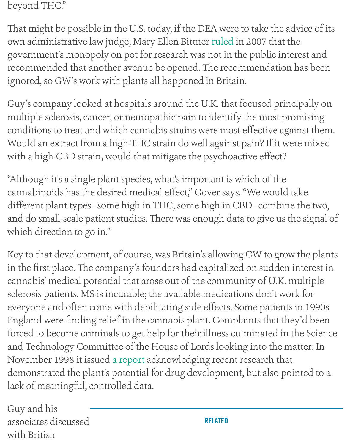recommended that another avenue be opened. The recommendation has been ignored, so GW's work with plants all happened in Britain.

Guy's company looked at hospitals around the U.[K. tha](http://www.maps.org/ALJfindings.PDF)t focused princi multiple sclerosis, cancer, or neuropathic pain to identify the most promi conditions to treat and which cannabis strains were most effective against Would an extract from a high-THC strain do well against pain? If it wer with a high-CBD strain, would that mitigate the psychoactive effect?

"Although it's a single plant species, what's important is which of the cannabinoids has the desired medical effect," Gover says. "We would ta different plant types-some high in THC, some high in CBD-combine and do small-scale patient studies. There was enough data to give us the which direction to go in."

Key to that development, of course, was Britain's allowing GW to grow in the first place. The company's founders had capitalized on sudden in cannabis' medical potential that arose out of the community of U.K. m sclerosis patients. MS is incurable; the available medications don't work everyone and often come with debilitating side effects. Some patients i England were finding relief in the cannabis plant. Complaints that they forced to become criminals to get help for their illness culminated in th and Technology Committee of the House of Lords looking into the ma November 1998 it issued a report acknowledging recent research that demonstrated the plant's potential for drug development, but also poir lack of meaningful, controlled data.

Guy and his associates discussed with British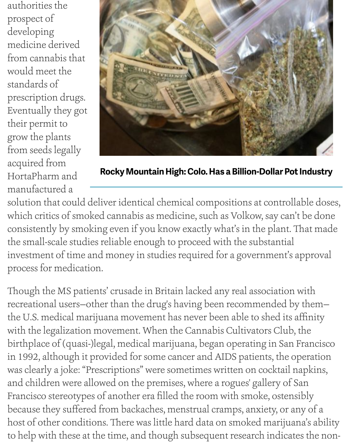$f(x)$  can consider the calculation  $f(x)$ would meet the standards of prescription drugs. Eventually they got their permit to grow the plants from seeds legally acquired from HortaPharm and manufactured a



**Rocky Mountain High: Colo. Has a Billion-Dollar Pot** 

solution that could deliver identical chemical compositions at controlla which critics of smoked cannabis as medicine, such as Volkow, say can' consistently by smoking even if you know exactly what's in the plant. T the small-scale studies reliable enough to proceed with the substantial investment of time and money in studies required for a government's a process for medication.

Though the MS patients' crusade in Britain lacked any real association recreational users-other than the drug's having been recommended by the U.S. medical marijuana movement has never been able to shed its a with the legalization movement. When the Cannabis Cultivators Club, birthplace of (quasi-)legal, medical marijuana, began operating in San F in 1992, although it provided for some cancer and AIDS patients, the operation was clearly a joke: "Prescriptions" were sometimes written on cocktail n and children were allowed on the premises, where a rogues' gallery of S Francisco stereotypes of another era filled the room with smoke, ostens because they suffered from backaches, menstrual cramps, anxiety, or an host of other conditions. There was little hard data on smoked marijuan to help with these at the time, and though subsequent research indicates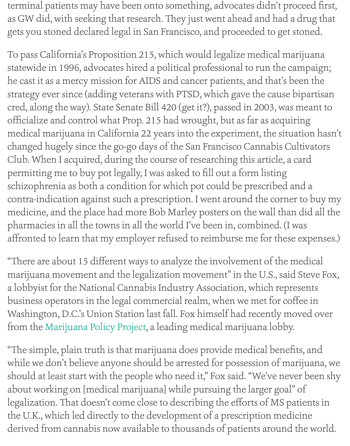statewide in 1996, advocates hired a political professional to run the ca he cast it as a mercy mission for AIDS and cancer patients, and that's be strategy ever since (adding veterans with PTSD, which gave the cause b cred, along the way). State Senate Bill 420 (get it?), passed in 2003, was n officialize and control what Prop. 215 had wrought, but as far as acquir medical marijuana in California 22 years into the experiment, the situation of changed hugely since the go-go days of the San Francisco Cannabis Cu Club. When I acquired, during the course of researching this article, a c permitting me to buy pot legally, I was asked to fill out a form listing schizophrenia as both a condition for which pot could be prescribed an contra-indication against such a prescription. I went around the corner medicine, and the place had more Bob Marley posters on the wall than pharmacies in all the towns in all the world I've been in, combined. (I was affronted to learn that my employer refused to reimburse me for these

"There are about 15 different ways to analyze the involvement of the m marijuana movement and the legalization movement" in the U.S., said a lobbyist for the National Cannabis Industry Association, which repre business operators in the legal commercial realm, when we met for coff Washington, D.C.'s Union Station last fall. Fox himself had recently mo from the Marijuana Policy Project, a leading medical marijuana lobby.

"The simple, plain truth is that marijuana does provide medical benefit while we don't believe anyone should be arrested for possession of mar should at least start with the people who need it," Fox said. "We've never about w[orking on \[medical mariju](http://www.mpp.org/our-work/)ana] while pursuing the larger goal" legalization. That doesn't come close to describing the efforts of MS patients the U.K., which led directly to the development of a prescription medic derived from cannabis now available to thousands of patients around to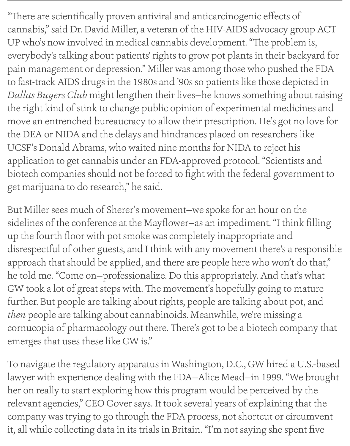"There are scientifically proven antiviral and anticarcinogenic effects of cannabis," said Dr. David Miller, a veteran of the HIV-AIDS advocacy group ACT UP who's now involved in medical cannabis development. "The problem is, everybody's talking about patients' rights to grow pot plants in their backyard for pain management or depression." Miller was among those who pushed the FDA to fast-track AIDS drugs in the 1980s and '90s so patients like those depicted in *Dallas Buyers Club* might lengthen their lives—he knows something about raising the right kind of stink to change public opinion of experimental medicines and move an entrenched bureaucracy to allow their prescription. He's got no love for the DEA or NIDA and the delays and hindrances placed on researchers like UCSF's Donald Abrams, who waited nine months for NIDA to reject his application to get cannabis under an FDA-approved protocol. "Scientists and biotech companies should not be forced to fight with the federal government to get marijuana to do research," he said.

But Miller sees much of Sherer's movement—we spoke for an hour on the sidelines of the conference at the Mayflower—as an impediment. "I think filling up the fourth floor with pot smoke was completely inappropriate and disrespectful of other guests, and I think with any movement there's a responsible approach that should be applied, and there are people here who won't do that," he told me. "Come on—professionalize. Do this appropriately. And that's what GW took a lot of great steps with. The movement's hopefully going to mature further. But people are talking about rights, people are talking about pot, and *then* people are talking about cannabinoids. Meanwhile, we're missing a cornucopia of pharmacology out there. There's got to be a biotech company that emerges that uses these like GW is."

To navigate the regulatory apparatus in Washington, D.C., GW hired a U.S.-based lawyer with experience dealing with the FDA—Alice Mead—in 1999. "We brought her on really to start exploring how this program would be perceived by the relevant agencies," CEO Gover says. It took several years of explaining that the company was trying to go through the FDA process, not shortcut or circumvent it, all while collecting data in its trials in Britain. "I'm not saying she spent five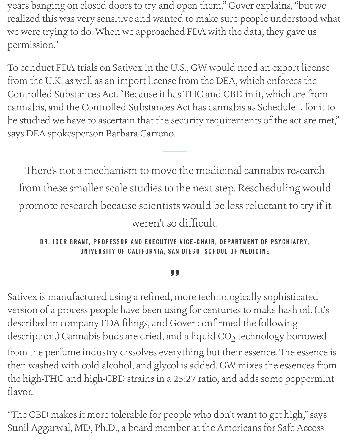years banging on closed doors to try and open them," Gover explains, "but we realized this was very sensitive and wanted to make sure people understood what we were trying to do. When we approached FDA with the data, they gave us permission."

To conduct FDA trials on Sativex in the U.S., GW would need an export license from the U.K. as well as an import license from the DEA, which enforces the Controlled Substances Act. "Because it has THC and CBD in it, which are from cannabis, and the Controlled Substances Act has cannabis as Schedule I, for it to be studied we have to ascertain that the security requirements of the act are met," says DEA spokesperson Barbara Carreno.

There's not a mechanism to move the medicinal cannabis research from these smaller-scale studies to the next step. Rescheduling would promote research because scientists would be less reluctant to try if it weren't so difficult.

## **DR. IGOR GRANT, PROFESSOR AND EXECUTIVE VICE-CHAIR, DEPARTMENT OF PSYCHIATRY, UNIVERSITY OF CALIFORNIA, SAN DIEGO, SCHOOL OF MEDICINE**

## 99

Sativex is manufactured using a refined, more technologically sophisticated version of a process people have been using for centuries to make hash oil. (It's described in company FDA filings, and Gover confirmed the following description.) Cannabis buds are dried, and a liquid  $CO<sub>2</sub>$  technology borrowed from the perfume industry dissolves everything but their essence. The essence is then washed with cold alcohol, and glycol is added. GW mixes the essences from the high-THC and high-CBD strains in a 25:27 ratio, and adds some peppermint flavor.

"The CBD makes it more tolerable for people who don't want to get high," says Sunil Aggarwal, MD, Ph.D., a board member at the Americans for Safe Access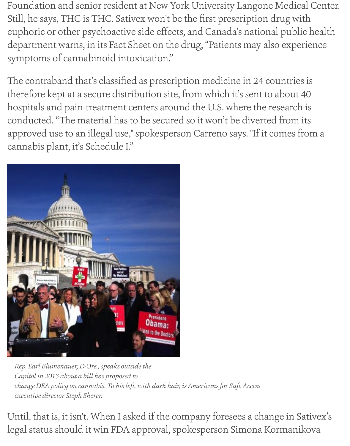Foundation and senior resident at New York University Langone Medical Center. Still, he says, THC is THC. Sativex won't be the first prescription drug with euphoric or other psychoactive side effects, and Canada's national public health department warns, in its Fact Sheet on the drug, "Patients may also experience symptoms of cannabinoid intoxication."

The contraband that's classified as prescription medicine in 24 countries is therefore kept at a secure distribution site, from which it's sent to about 40 hospitals and pain-treatment centers around the U.S. where the research is conducted. "The material has to be secured so it won't be diverted from its approved use to an illegal use," spokesperson Carreno says. "If it comes from a cannabis plant, it's Schedule I."



*Rep. Earl Blumenauer, D-Ore., speaks outside the Capitol in 2013 about a bill he's proposed to change DEA policy on cannabis. To his left, with dark hair, is Americans for Safe Access executive director Steph Sherer.*

Until, that is, it isn't. When I asked if the company foresees a change in Sativex's legal status should it win FDA approval, spokesperson Simona Kormanikova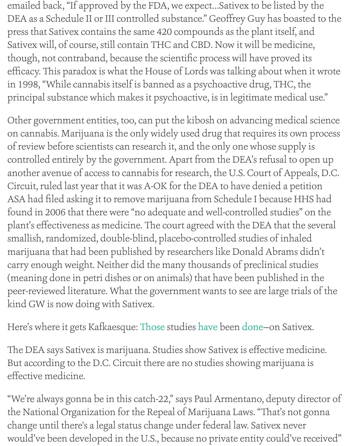the up+, not contraband, because the scientific process will have proved efficacy. This paradox is what the House of Lords was talking about wh in 1998, "While cannabis itself is banned as a psychoactive drug, THC, principal substance which makes it psychoactive, is in legitimate medic

Other government entities, too, can put the kibosh on advancing medion cannabis. Marijuana is the only widely used drug that requires its ov of review before scientists can research it, and the only one whose supp controlled entirely by the government. Apart from the DEA's refusal to another avenue of access to cannabis for research, the U.S. Court of Appendix, Circuit, ruled last year that it was A-OK for the DEA to have denied a pe ASA had filed asking it to remove marijuana from Schedule I because H found in 2006 that there were "no adequate and well-controlled studies plant's effectiveness as medicine. The court agreed with the DEA that the smallish, randomized, double-blind, placebo-controlled studies of inha marijuana that had been published by researchers like Donald Abrams carry enough weight. Neither did the many thousands of preclinical studies (meaning done in petri dishes or on animals) that have been published peer-reviewed literature. What the government wants to see are large tr kind GW is now doing with Sativex.

Here's where it gets Kafkaesque: Those studies have been done-on Sati

The DEA says Sativex is marijuana. Studies show Sativex is effective me But according to the D.C. Circuit there are no studies showing marijuan effective medicine.

"We're always gonna be in this catch-22," says Paul Armentano, deputy the National Organization for the Repeal of Marijuana Laws. "That's no change until there's a legal status change under federal law. Sativex nev would've been developed in the U.S., because no private entity could'v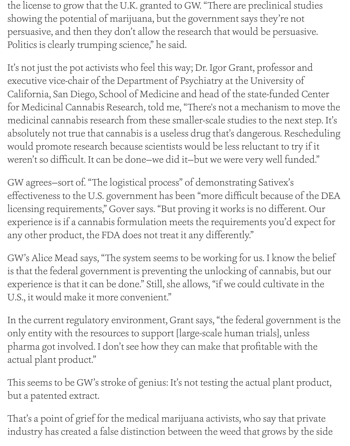the license to grow that the U.K. granted to GW. "There are preclinical studies showing the potential of marijuana, but the government says they're not persuasive, and then they don't allow the research that would be persuasive. Politics is clearly trumping science," he said.

It's not just the pot activists who feel this way; Dr. Igor Grant, professor and executive vice-chair of the Department of Psychiatry at the University of California, San Diego, School of Medicine and head of the state-funded Center for Medicinal Cannabis Research, told me, "There's not a mechanism to move the medicinal cannabis research from these smaller-scale studies to the next step. It's absolutely not true that cannabis is a useless drug that's dangerous. Rescheduling would promote research because scientists would be less reluctant to try if it weren't so difficult. It can be done—we did it—but we were very well funded."

GW agrees-sort of. "The logistical process" of demonstrating Sativex's effectiveness to the U.S. government has been "more difficult because of the DEA licensing requirements," Gover says. "But proving it works is no different. Our experience is if a cannabis formulation meets the requirements you'd expect for any other product, the FDA does not treat it any differently."

GW's Alice Mead says, "The system seems to be working for us. I know the belief is that the federal government is preventing the unlocking of cannabis, but our experience is that it can be done." Still, she allows, "if we could cultivate in the U.S., it would make it more convenient."

In the current regulatory environment, Grant says, "the federal government is the only entity with the resources to support [large-scale human trials], unless pharma got involved. I don't see how they can make that profitable with the actual plant product."

This seems to be GW's stroke of genius: It's not testing the actual plant product, but a patented extract.

That's a point of grief for the medical marijuana activists, who say that private industry has created a false distinction between the weed that grows by the side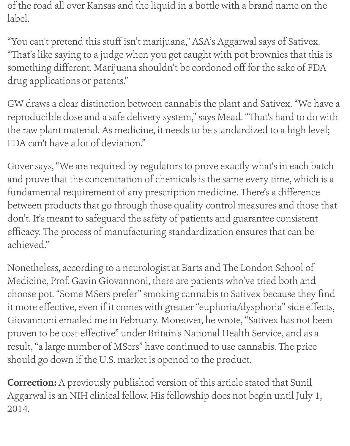of the road all over Kansas and the liquid in a bottle with a brand name on the label.

"You can't pretend this stuff isn't marijuana," ASA's Aggarwal says of Sativex. "That's like saying to a judge when you get caught with pot brownies that this is something different. Marijuana shouldn't be cordoned off for the sake of FDA drug applications or patents."

GW draws a clear distinction between cannabis the plant and Sativex. "We have a reproducible dose and a safe delivery system," says Mead. "That's hard to do with the raw plant material. As medicine, it needs to be standardized to a high level; FDA can't have a lot of deviation."

Gover says, "We are required by regulators to prove exactly what's in each batch and prove that the concentration of chemicals is the same every time, which is a fundamental requirement of any prescription medicine. There's a difference between products that go through those quality-control measures and those that don't. It's meant to safeguard the safety of patients and guarantee consistent efficacy. The process of manufacturing standardization ensures that can be achieved."

Nonetheless, according to a neurologist at Barts and The London School of Medicine, Prof. Gavin Giovannoni, there are patients who've tried both and choose pot. "Some MSers prefer" smoking cannabis to Sativex because they find it more effective, even if it comes with greater "euphoria/dysphoria" side effects, Giovannoni emailed me in February. Moreover, he wrote, "Sativex has not been proven to be cost-effective" under Britain's National Health Service, and as a result, "a large number of MSers" have continued to use cannabis. The price should go down if the U.S. market is opened to the product.

**Correction:** A previously published version of this article stated that Sunil Aggarwal is an NIH clinical fellow. His fellowship does not begin until July 1, 2014.